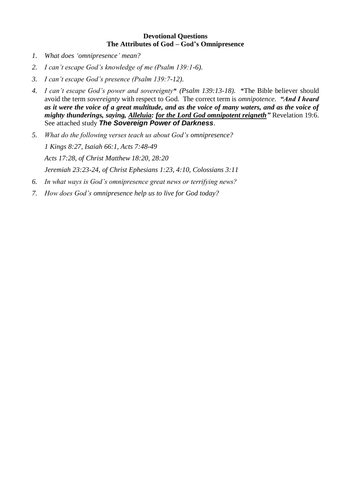#### **Devotional Questions The Attributes of God – God's Omnipresence**

- *1. What does 'omnipresence' mean?*
- *2. I can't escape God's knowledge of me (Psalm 139:1-6).*
- *3. I can't escape God's presence (Psalm 139:7-12).*
- *4. I can't escape God's power and sovereignty*\* *(Psalm 139:13-18).* \*The Bible believer should avoid the term *sovereignty* with respect to God. The correct term is *omnipotence*. *"And I heard as it were the voice of a great multitude, and as the voice of many waters, and as the voice of mighty thunderings, saying, Alleluia: for the Lord God omnipotent reigneth"* Revelation 19:6. See attached study *The Sovereign Power of Darkness*.
- *5. What do the following verses teach us about God's omnipresence? 1 Kings 8:27, Isaiah 66:1, Acts 7:48-49 Acts 17:28, of Christ Matthew 18:20, 28:20 Jeremiah 23:23-24, of Christ Ephesians 1:23, 4:10, Colossians 3:11*
- *6. In what ways is God's omnipresence great news or terrifying news?*
- *7. How does God's omnipresence help us to live for God today?*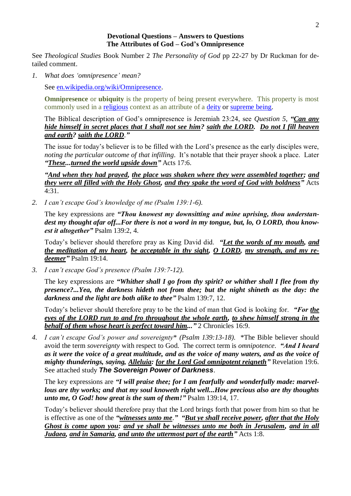#### **Devotional Questions – Answers to Questions The Attributes of God – God's Omnipresence**

See *Theological Studies* Book Number 2 *The Personality of God* pp 22-27 by Dr Ruckman for detailed comment.

*1. What does 'omnipresence' mean?*

See [en.wikipedia.org/wiki/Omnipresence.](https://en.wikipedia.org/wiki/Omnipresence)

**Omnipresence** or **ubiquity** is the property of being present everywhere. This property is most commonly used in a [religious](https://en.wikipedia.org/wiki/Religious) context as an attribute of a [deity](https://en.wikipedia.org/wiki/Deity) or [supreme being.](https://en.wikipedia.org/wiki/Supreme_being)

The Biblical description of God's omnipresence is Jeremiah 23:24, see *Question 5*, *"Can any hide himself in secret places that I shall not see him? saith the LORD. Do not I fill heaven and earth? saith the LORD*.*"*

The issue for today's believer is to be filled with the Lord's presence as the early disciples were, *noting the particular outcome of that infilling*. It's notable that their prayer shook a place. Later *"These...turned the world upside down"* Acts 17:6.

*"And when they had prayed, the place was shaken where they were assembled together; and they were all filled with the Holy Ghost, and they spake the word of God with boldness"* Acts 4:31.

*2. I can't escape God's knowledge of me (Psalm 139:1-6).*

The key expressions are *"Thou knowest my downsitting and mine uprising, thou understandest my thought afar off...For there is not a word in my tongue, but, lo, O LORD, thou knowest it altogether"* Psalm 139:2, 4.

Today's believer should therefore pray as King David did. *"Let the words of my mouth, and the meditation of my heart, be acceptable in thy sight, O LORD, my strength, and my redeemer"* Psalm 19:14.

*3. I can't escape God's presence (Psalm 139:7-12).*

The key expressions are *"Whither shall I go from thy spirit? or whither shall I flee from thy presence?...Yea, the darkness hideth not from thee; but the night shineth as the day: the darkness and the light are both alike to thee"* Psalm 139:7, 12.

Today's believer should therefore pray to be the kind of man that God is looking for. *"For the eyes of the LORD run to and fro throughout the whole earth, to shew himself strong in the behalf of them whose heart is perfect toward him..."* 2 Chronicles 16:9.

*4. I can't escape God's power and sovereignty*\* *(Psalm 139:13-18).* \*The Bible believer should avoid the term *sovereignty* with respect to God. The correct term is *omnipotence*. *"And I heard as it were the voice of a great multitude, and as the voice of many waters, and as the voice of mighty thunderings, saying, Alleluia: for the Lord God omnipotent reigneth"* Revelation 19:6. See attached study *The Sovereign Power of Darkness*.

The key expressions are *"I will praise thee; for I am fearfully and wonderfully made: marvellous are thy works; and that my soul knoweth right well...How precious also are thy thoughts unto me, O God! how great is the sum of them!"* Psalm 139:14, 17.

Today's believer should therefore pray that the Lord brings forth that power from him so that he is effective as one of the *"witnesses unto me*.*" "But ye shall receive power, after that the Holy Ghost is come upon you: and ye shall be witnesses unto me both in Jerusalem, and in all Judaea, and in Samaria, and unto the uttermost part of the earth"* Acts 1:8.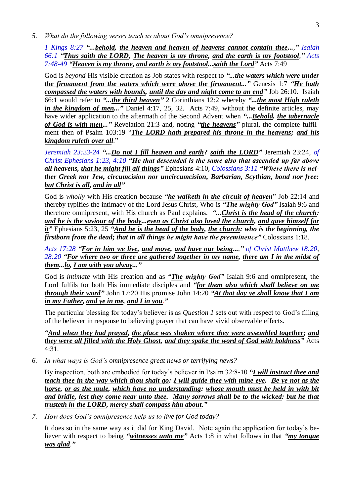*5. What do the following verses teach us about God's omnipresence?*

*1 Kings 8:27 "...behold, the heaven and heaven of heavens cannot contain thee...," Isaiah 66:1 "Thus saith the LORD, The heaven is my throne, and the earth is my footstool," Acts 7:48-49 "Heaven is my throne, and earth is my footstool...saith the Lord"* Acts 7:49

God is *beyond* His visible creation as Job states with respect to *"...the waters which were under the firmament from the waters which were above the firmament..."* Genesis 1:7 *"He hath compassed the waters with bounds, until the day and night come to an end"* Job 26:10. Isaiah 66:1 would refer to *"...the third heaven"* 2 Corinthians 12:2 whereby *"...the most High ruleth in the kingdom of men...*" Daniel 4:17, 25, 32. Acts 7:49, without the definite articles, may have wider application to the aftermath of the Second Advent when *"...Behold, the tabernacle of God is with men..."* Revelation 21:3 and, noting *"the heavens"* plural, the complete fulfilment then of Psalm 103:19 "*The LORD hath prepared his throne in the heavens; and his kingdom ruleth over all*."

*Jeremiah 23:23-24 "...Do not I fill heaven and earth? saith the LORD"* Jeremiah 23:24*, of Christ Ephesians 1:23, 4:10 "He that descended is the same also that ascended up far above all heavens, that he might fill all things"* Ephesians 4:10*, Colossians 3:11 "Where there is neither Greek nor Jew, circumcision nor uncircumcision, Barbarian, Scythian, bond nor free: but Christ is all, and in all"*

God is *wholly* with His creation because *"he walketh in the circuit of heaven*" Job 22:14 and thereby typifies the intimacy of the Lord Jesus Christ, Who is *"The mighty God"* Isaiah 9:6 and therefore omnipresent, with His church as Paul explains. *"...Christ is the head of the church: and he is the saviour of the body...even as Christ also loved the church, and gave himself for it"* Ephesians 5:23, 25 *"And he is the head of the body, the church: who is the beginning, the firstborn from the dead; that in all things he might have the preeminence"* Colossians 1:18.

*Acts 17:28 "For in him we live, and move, and have our being...," of Christ Matthew 18:20, 28:20 "For where two or three are gathered together in my name, there am I in the midst of them...lo, I am with you alway..."*

God is *intimate* with His creation and as *"The mighty God"* Isaiah 9:6 and omnipresent, the Lord fulfils for both His immediate disciples and *"for them also which shall believe on me through their word"* John 17:20 His promise John 14:20 *"At that day ye shall know that I am in my Father, and ye in me, and I in you*.*"*

The particular blessing for today's believer is as *Question 1* sets out with respect to God's filling of the believer in response to believing prayer that can have vivid observable effects.

*"And when they had prayed, the place was shaken where they were assembled together; and they were all filled with the Holy Ghost, and they spake the word of God with boldness"* Acts 4:31.

*6. In what ways is God's omnipresence great news or terrifying news?*

By inspection, both are embodied for today's believer in Psalm 32:8-10 *"I will instruct thee and teach thee in the way which thou shalt go: I will guide thee with mine eye. Be ye not as the horse, or as the mule, which have no understanding: whose mouth must be held in with bit and bridle, lest they come near unto thee. Many sorrows shall be to the wicked: but he that trusteth in the LORD, mercy shall compass him about*.*"*

*7. How does God's omnipresence help us to live for God today?*

It does so in the same way as it did for King David. Note again the application for today's believer with respect to being *"witnesses unto me"* Acts 1:8 in what follows in that *"my tongue was glad*.*"*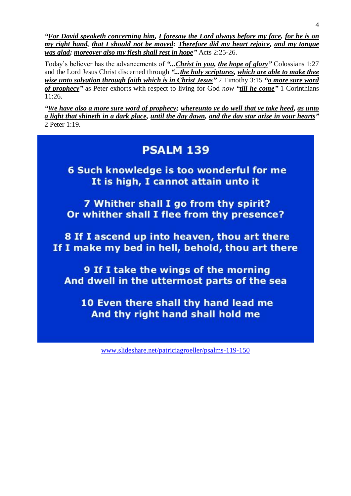4

*"For David speaketh concerning him, I foresaw the Lord always before my face, for he is on my right hand, that I should not be moved: Therefore did my heart rejoice, and my tongue was glad; moreover also my flesh shall rest in hope"* Acts 2:25-26.

Today's believer has the advancements of *"...Christ in you, the hope of glory"* Colossians 1:27 and the Lord Jesus Christ discerned through *"...the holy scriptures, which are able to make thee wise unto salvation through faith which is in Christ Jesus"* 2 Timothy 3:15 *"a more sure word of prophecy"* as Peter exhorts with respect to living for God *now "till he come"* 1 Corinthians 11:26.

*"We have also a more sure word of prophecy; whereunto ye do well that ye take heed, as unto a light that shineth in a dark place, until the day dawn, and the day star arise in your hearts"* 2 Peter 1:19.

# **PSALM 139**

6 Such knowledge is too wonderful for me It is high, I cannot attain unto it

7 Whither shall I go from thy spirit? Or whither shall I flee from thy presence?

8 If I ascend up into heaven, thou art there If I make my bed in hell, behold, thou art there

9 If I take the wings of the morning And dwell in the uttermost parts of the sea

10 Even there shall thy hand lead me And thy right hand shall hold me

[www.slideshare.net/patriciagroeller/psalms-119-150](http://www.slideshare.net/patriciagroeller/psalms-119-150)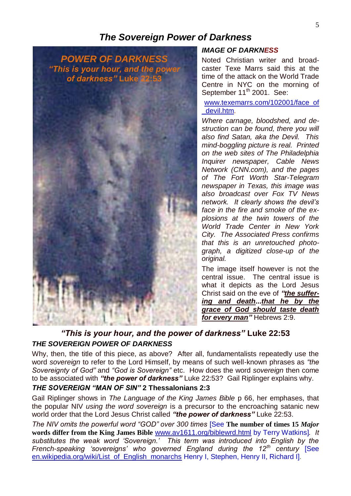## *The Sovereign Power of Darkness*



### *IMAGE OF DARKNESS*

Noted Christian writer and broadcaster Texe Marrs said this at the time of the attack on the World Trade Centre in NYC on the morning of September 11<sup>th</sup> 2001. See:

[www.texemarrs.com/102001/face\\_of](http://www.texemarrs.com/102001/face_of_devil.htm) [\\_devil.htm.](http://www.texemarrs.com/102001/face_of_devil.htm)

*Where carnage, bloodshed, and destruction can be found, there you will also find Satan, aka the Devil. This mind-boggling picture is real. Printed on the web sites of The Philadelphia Inquirer newspaper, Cable News Network (CNN.com), and the pages of The Fort Worth Star-Telegram newspaper in Texas, this image was also broadcast over Fox TV News network. It clearly shows the devil's face in the fire and smoke of the explosions at the twin towers of the World Trade Center in New York City. The Associated Press confirms that this is an unretouched photograph, a digitized close-up of the original.*

The image itself however is not the central issue. The central issue is what it depicts as the Lord Jesus Christ said on the eve of *"the suffering and death...that he by the grace of God should taste death for every man"* Hebrews 2:9.

## *"This is your hour, and the power of darkness"* **Luke 22:53** *THE SOVEREIGN POWER OF DARKNESS*

Why, then, the title of this piece, as above? After all, fundamentalists repeatedly use the word *sovereign* to refer to the Lord Himself, by means of such well-known phrases as *"the Sovereignty of God"* and *"God is Sovereign"* etc. How does the word *sovereign* then come to be associated with *"the power of darkness"* Luke 22:53? Gail Riplinger explains why.

### *THE SOVEREIGN "MAN OF SIN"* **2 Thessalonians 2:3**

Gail Riplinger shows in *The Language of the King James Bible* p 66, her emphases, that the popular NIV *using the word sovereign* is a precursor to the encroaching satanic new world order that the Lord Jesus Christ called *"the power of darkness"* Luke 22:53.

*The NIV omits the powerful word "GOD" over 300 times* [See **The number of times 15** *Major* **words differ from the King James Bible** [www.av1611.org/biblewrd.html](http://www.av1611.org/biblewrd.html) by Terry Watkins]*. It substitutes the weak word 'Sovereign.' This term was introduced into English by the French-speaking 'sovereigns' who governed England during the 12th century* [See [en.wikipedia.org/wiki/List\\_of\\_English\\_monarchs](http://en.wikipedia.org/wiki/List_of_English_monarchs) Henry I, Stephen, Henry II, Richard I]*.*